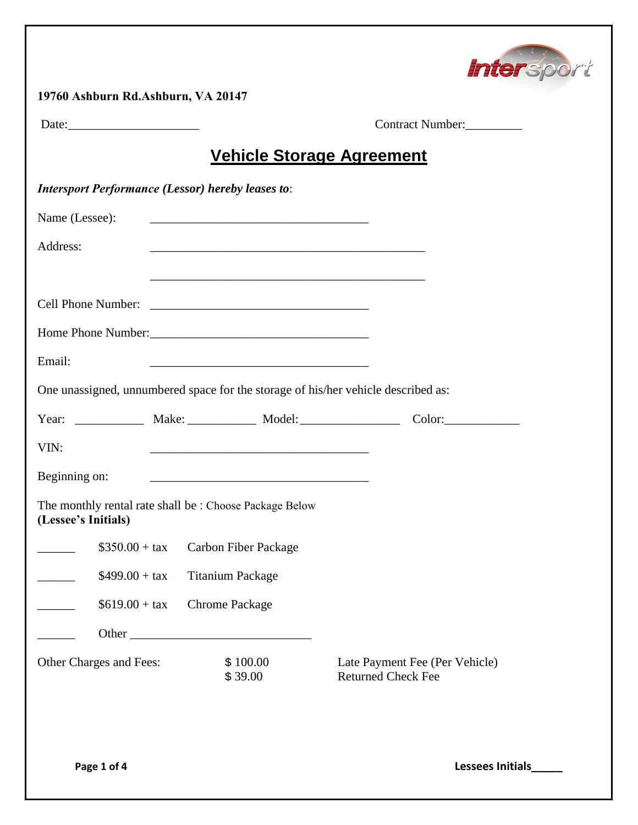

| Date:                                                    |                                                                                                                  | Contract Number:                                                                  |  |  |
|----------------------------------------------------------|------------------------------------------------------------------------------------------------------------------|-----------------------------------------------------------------------------------|--|--|
|                                                          |                                                                                                                  | <u>Vehicle Storage Agreement</u>                                                  |  |  |
| <b>Intersport Performance (Lessor) hereby leases to:</b> |                                                                                                                  |                                                                                   |  |  |
| Name (Lessee):                                           |                                                                                                                  |                                                                                   |  |  |
| Address:                                                 | and the control of the control of the control of the control of the control of the control of the control of the |                                                                                   |  |  |
|                                                          |                                                                                                                  |                                                                                   |  |  |
|                                                          |                                                                                                                  |                                                                                   |  |  |
| Email:                                                   |                                                                                                                  |                                                                                   |  |  |
|                                                          |                                                                                                                  | One unassigned, unnumbered space for the storage of his/her vehicle described as: |  |  |
|                                                          |                                                                                                                  |                                                                                   |  |  |
| VIN:                                                     |                                                                                                                  |                                                                                   |  |  |
| Beginning on:                                            |                                                                                                                  |                                                                                   |  |  |
| (Lessee's Initials)                                      | The monthly rental rate shall be: Choose Package Below                                                           |                                                                                   |  |  |
|                                                          | $$350.00 + tax$ Carbon Fiber Package                                                                             |                                                                                   |  |  |
| $$499.00 + tax$                                          | <b>Titanium Package</b>                                                                                          |                                                                                   |  |  |
| $$619.00 + tax$                                          | <b>Chrome Package</b>                                                                                            |                                                                                   |  |  |
|                                                          |                                                                                                                  |                                                                                   |  |  |
| Other Charges and Fees:                                  | \$100.00<br>\$39.00                                                                                              | Late Payment Fee (Per Vehicle)<br><b>Returned Check Fee</b>                       |  |  |

**Page 1 of 4 Lessees Initials\_\_\_\_\_**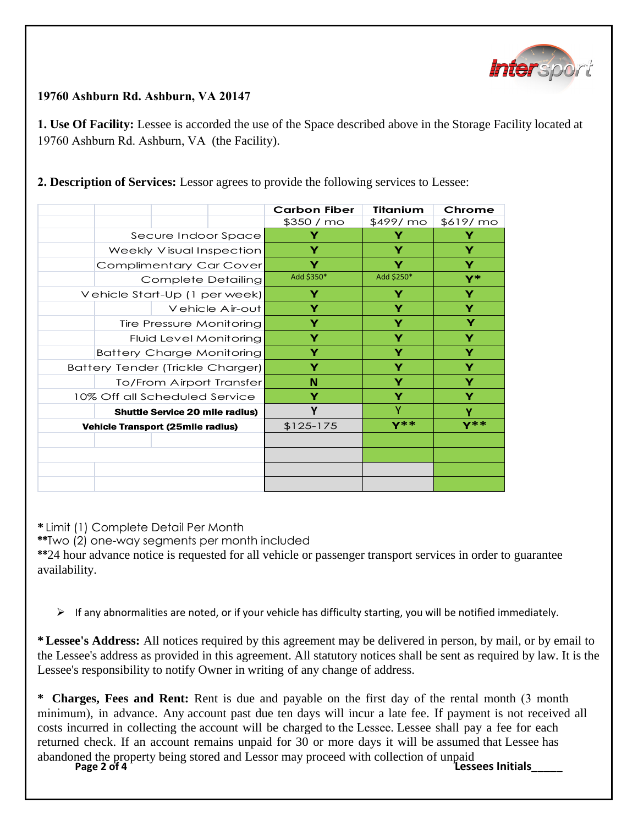

## **19760 Ashburn Rd. Ashburn, VA 20147**

**1. Use Of Facility:** Lessee is accorded the use of the Space described above in the Storage Facility located at 19760 Ashburn Rd. Ashburn, VA (the Facility).

|                                                        |                                               |   | <b>Carbon Fiber</b><br>\$350 / mo                                                                                                                                                                                                                                                                        | Titanium<br>\$499/ mo | Chrome<br>\$619/ mo |
|--------------------------------------------------------|-----------------------------------------------|---|----------------------------------------------------------------------------------------------------------------------------------------------------------------------------------------------------------------------------------------------------------------------------------------------------------|-----------------------|---------------------|
| Secure Indoor Space                                    |                                               |   | Y                                                                                                                                                                                                                                                                                                        | Y                     | Y                   |
| Weekly Visual Inspection                               |                                               |   | Υ                                                                                                                                                                                                                                                                                                        | Y                     | Y                   |
|                                                        | <b>Complimentary Car Cover</b>                |   | Y                                                                                                                                                                                                                                                                                                        | Y                     | Y                   |
| <b>Complete Detailing</b>                              |                                               |   | Add \$350*                                                                                                                                                                                                                                                                                               | Add \$250*            | $Y^*$               |
| Vehicle Start-Up (1 per week)                          |                                               |   | Υ                                                                                                                                                                                                                                                                                                        | Υ                     | Υ                   |
| Vehicle Air-out                                        |                                               |   | Y                                                                                                                                                                                                                                                                                                        | Y                     | Υ                   |
| Tire Pressure Monitoring                               |                                               |   | Y                                                                                                                                                                                                                                                                                                        | Y                     | Y                   |
| Fluid Level Monitoring                                 |                                               |   | Y                                                                                                                                                                                                                                                                                                        | Y                     | Y                   |
| <b>Battery Charge Monitoring</b>                       |                                               |   | Y                                                                                                                                                                                                                                                                                                        | Y                     | Υ                   |
| <b>Battery Tender (Trickle Charger)</b>                |                                               |   | Y                                                                                                                                                                                                                                                                                                        | Y                     | Y                   |
| To/From Airport Transfer                               |                                               |   | N                                                                                                                                                                                                                                                                                                        | Y                     | Υ                   |
| 10% Off all Scheduled Service                          |                                               | Υ | Y                                                                                                                                                                                                                                                                                                        | Y                     |                     |
| <b>Shuttle Service 20 mile radius)</b>                 |                                               | Υ | Ÿ                                                                                                                                                                                                                                                                                                        | Ϋ                     |                     |
|                                                        | <b>Vehicle Transport (25mile radius)</b>      |   | $$125-175$                                                                                                                                                                                                                                                                                               | <b>Y**</b>            | $Y^**$              |
|                                                        |                                               |   |                                                                                                                                                                                                                                                                                                          |                       |                     |
|                                                        |                                               |   |                                                                                                                                                                                                                                                                                                          |                       |                     |
| * Limit (1) Complete Detail Per Month<br>availability. | **Two (2) one-way segments per month included |   | **24 hour advance notice is requested for all vehicle or passenger transport services in order to                                                                                                                                                                                                        |                       |                     |
| ➤                                                      |                                               |   | If any abnormalities are noted, or if your vehicle has difficulty starting, you will be notified in<br>*Lessee's Address: All notices required by this agreement may be delivered in person, by m<br>the Lessee's address as provided in this agreement. All statutory notices shall be sent as required |                       |                     |

**\*\***24 hour advance notice is requested for all vehicle or passenger transport services in order to guarantee availability.

 $\triangleright$  If any abnormalities are noted, or if your vehicle has difficulty starting, you will be notified immediately.

**\* Lessee's Address:** All notices required by this agreement may be delivered in person, by mail, or by email to the Lessee's address as provided in this agreement. All statutory notices shall be sent as required by law. It is the Lessee's responsibility to notify Owner in writing of any change of address.

abandoned the property being stored and Lessor may proceed with collection of unpaid<br>**Page 2 of 4 Lessees Initials \* Charges, Fees and Rent:** Rent is due and payable on the first day of the rental month (3 month minimum), in advance. Any account past due ten days will incur a late fee. If payment is not received all costs incurred in collecting the account will be charged to the Lessee. Lessee shall pay a fee for each returned check. If an account remains unpaid for 30 or more days it will be assumed that Lessee has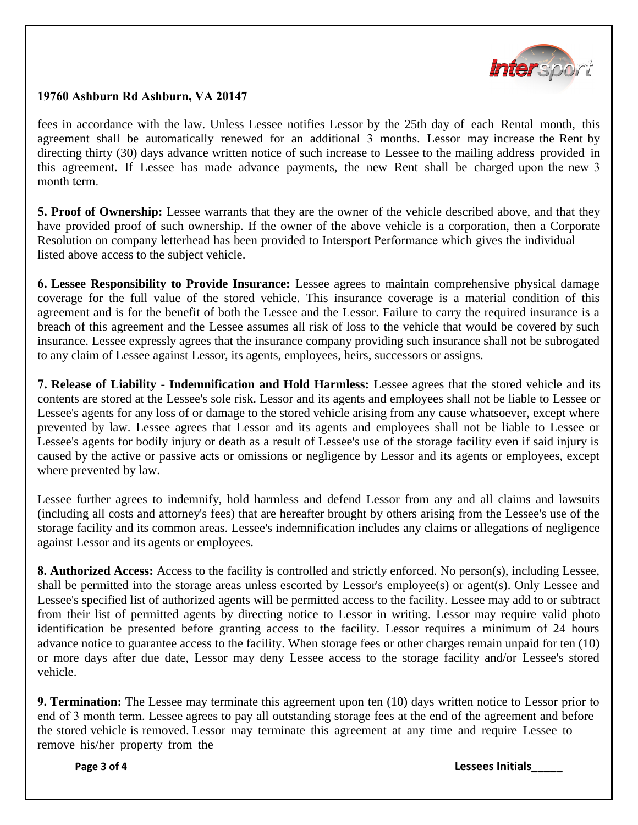

## **19760 Ashburn Rd Ashburn, VA 20147**

fees in accordance with the law. Unless Lessee notifies Lessor by the 25th day of each Rental month, this agreement shall be automatically renewed for an additional 3 months. Lessor may increase the Rent by directing thirty (30) days advance written notice of such increase to Lessee to the mailing address provided in this agreement. If Lessee has made advance payments, the new Rent shall be charged upon the new 3 month term.

**5. Proof of Ownership:** Lessee warrants that they are the owner of the vehicle described above, and that they have provided proof of such ownership. If the owner of the above vehicle is a corporation, then a Corporate Resolution on company letterhead has been provided to Intersport Performance which gives the individual listed above access to the subject vehicle.

**6. Lessee Responsibility to Provide Insurance:** Lessee agrees to maintain comprehensive physical damage coverage for the full value of the stored vehicle. This insurance coverage is a material condition of this agreement and is for the benefit of both the Lessee and the Lessor. Failure to carry the required insurance is a breach of this agreement and the Lessee assumes all risk of loss to the vehicle that would be covered by such insurance. Lessee expressly agrees that the insurance company providing such insurance shall not be subrogated to any claim of Lessee against Lessor, its agents, employees, heirs, successors or assigns.

**7. Release of Liability - Indemnification and Hold Harmless:** Lessee agrees that the stored vehicle and its contents are stored at the Lessee's sole risk. Lessor and its agents and employees shall not be liable to Lessee or Lessee's agents for any loss of or damage to the stored vehicle arising from any cause whatsoever, except where prevented by law. Lessee agrees that Lessor and its agents and employees shall not be liable to Lessee or Lessee's agents for bodily injury or death as a result of Lessee's use of the storage facility even if said injury is caused by the active or passive acts or omissions or negligence by Lessor and its agents or employees, except where prevented by law.

Lessee further agrees to indemnify, hold harmless and defend Lessor from any and all claims and lawsuits (including all costs and attorney's fees) that are hereafter brought by others arising from the Lessee's use of the storage facility and its common areas. Lessee's indemnification includes any claims or allegations of negligence against Lessor and its agents or employees.

**8. Authorized Access:** Access to the facility is controlled and strictly enforced. No person(s), including Lessee, shall be permitted into the storage areas unless escorted by Lessor's employee(s) or agent(s). Only Lessee and Lessee's specified list of authorized agents will be permitted access to the facility. Lessee may add to or subtract from their list of permitted agents by directing notice to Lessor in writing. Lessor may require valid photo identification be presented before granting access to the facility. Lessor requires a minimum of 24 hours advance notice to guarantee access to the facility. When storage fees or other charges remain unpaid for ten (10) or more days after due date, Lessor may deny Lessee access to the storage facility and/or Lessee's stored vehicle.

**9. Termination:** The Lessee may terminate this agreement upon ten (10) days written notice to Lessor prior to end of 3 month term. Lessee agrees to pay all outstanding storage fees at the end of the agreement and before the stored vehicle is removed. Lessor may terminate this agreement at any time and require Lessee to remove his/her property from the

**Page 3 of 4 Lessees Initials\_\_\_\_\_**